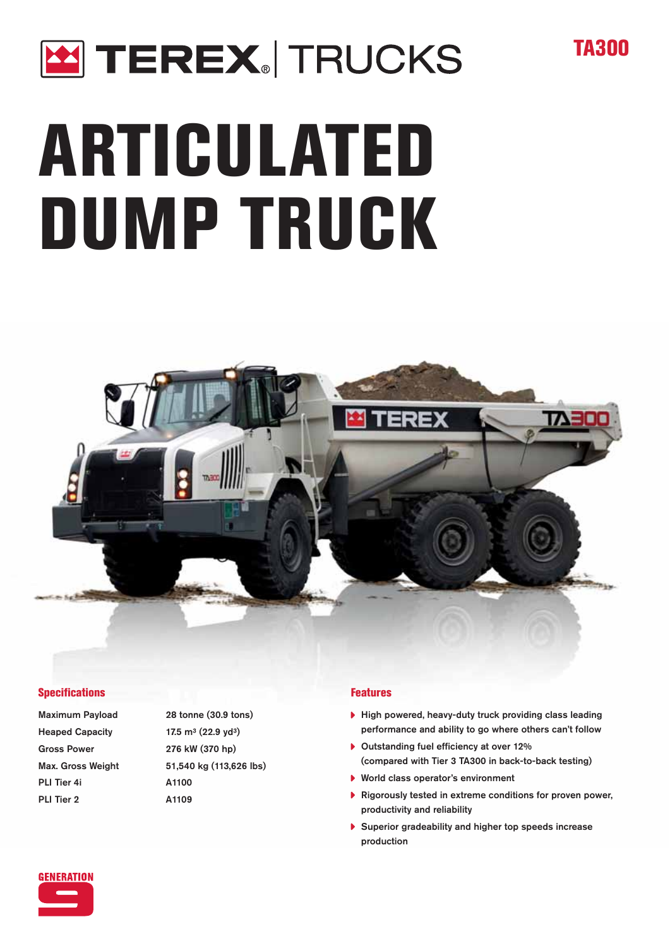# **M TEREX** TRUCKS ARTICULATED DUMP TRUCK



#### **Specifications**

Heaped Capacity 17.5 m<sup>3</sup> (22.9 yd<sup>3</sup>) Gross Power 276 kW (370 hp) PLI Tier 4i A1100 PLI Tier 2 A1109

Maximum Payload 28 tonne (30.9 tons) Max. Gross Weight 51,540 kg (113,626 lbs)

#### Features

 $\blacktriangleright$  High powered, heavy-duty truck providing class leading performance and ability to go where others can't follow

TA300

- $\triangleright$  Outstanding fuel efficiency at over 12% (compared with Tier 3 TA300 in back-to-back testing)
- ▶ World class operator's environment
- $\blacktriangleright$  Rigorously tested in extreme conditions for proven power, productivity and reliability
- ▶ Superior gradeability and higher top speeds increase production

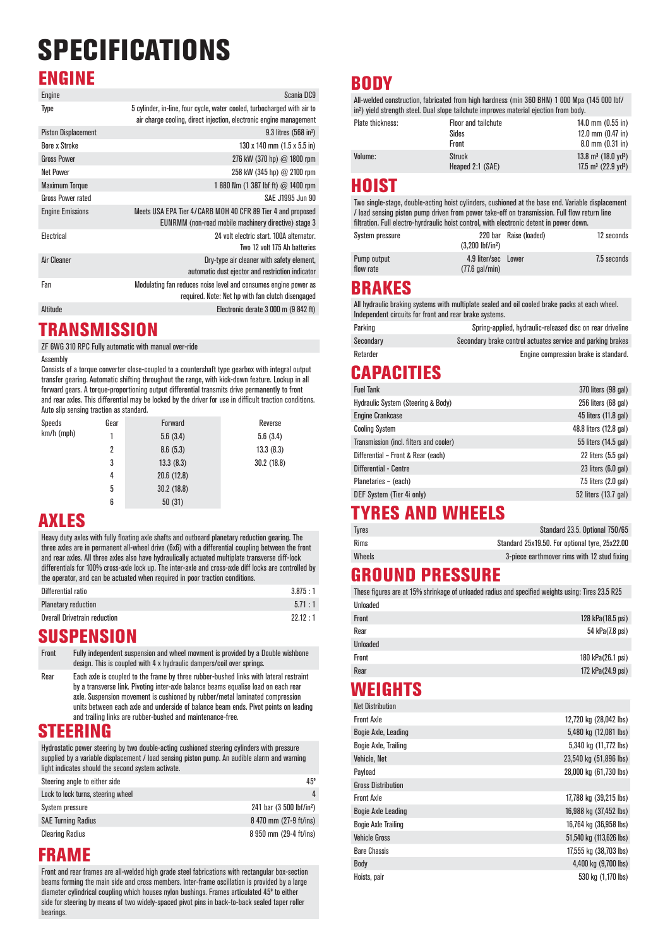# SPECIFICATIONS

#### **ENGINE** Engine Scania DC9 Type 5 cylinder, in-line, four cycle, water cooled, turbocharged with air to air charge cooling, direct injection, electronic engine management Piston Displacement  $9.3$  litres  $(568$  in<sup>3</sup>) Bore x Stroke 130 x 140 mm (1.5 x 5.5 in) Gross Power 276 kW (370 hp) @ 1800 rpm Net Power 258 kW (345 hp) @ 2100 rpm Maximum Torque 1 880 Nm (1 387 lbf ft) @ 1400 rpm Gross Power rated SAE J1995 Jun 90 Engine Emissions Meets USA EPA Tier 4/CARB MOH 40 CFR 89 Tier 4 and proposed EUNRMM (non-road mobile machinery directive) stage 3 Electrical 24 volt electric start. 100A alternator. Two 12 volt 175 Ah batteries Air Cleaner **Dry-type air cleaner with safety element**, automatic dust ejector and restriction indicator Fan Modulating fan reduces noise level and consumes engine power as required. Note: Net hp with fan clutch disengaged Altitude Electronic derate 3 000 m (9 842 ft)

### **TRANSMISSION**

ZF 6WG 310 RPC Fully automatic with manual over-ride

#### Assembly

Consists of a torque converter close-coupled to a countershaft type gearbox with integral output transfer gearing. Automatic shifting throughout the range, with kick-down feature. Lockup in all forward gears. A torque-proportioning output differential transmits drive permanently to front and rear axles. This differential may be locked by the driver for use in difficult traction conditions. Auto slip sensing traction as standard.

| Gear<br>Speeds<br>km/h (mph)<br>1 |   | Forward    | Reverse    |
|-----------------------------------|---|------------|------------|
|                                   |   | 5.6(3.4)   | 5.6(3.4)   |
|                                   | 2 | 8.6(5.3)   | 13.3(8.3)  |
|                                   | 3 | 13.3(8.3)  | 30.2(18.8) |
|                                   | 4 | 20.6(12.8) |            |
|                                   | 5 | 30.2(18.8) |            |
|                                   | 6 | 50(31)     |            |

### **AXIES**

Heavy duty axles with fully floating axle shafts and outboard planetary reduction gearing. The three axles are in permanent all-wheel drive (6x6) with a differential coupling between the front and rear axles. All three axles also have hydraulically actuated multiplate transverse diff-lock differentials for 100% cross-axle lock up. The inter-axle and cross-axle diff locks are controlled by the operator, and can be actuated when required in poor traction conditions.

| Differential ratio           | 3.875:1 |
|------------------------------|---------|
| <b>Planetary reduction</b>   | 5.71:1  |
| Overall Drivetrain reduction | 22.12:1 |

### **SUSPENSION**

- Fully independent suspension and wheel movment is provided by a Double wishbone design. This is coupled with 4 x hydraulic dampers/coil over springs.
- Rear Each axle is coupled to the frame by three rubber-bushed links with lateral restraint by a transverse link. Pivoting inter-axle balance beams equalise load on each rear axle. Suspension movement is cushioned by rubber/metal laminated compression units between each axle and underside of balance beam ends. Pivot points on leading and trailing links are rubber-bushed and maintenance-free.

### **STEERING**

Hydrostatic power steering by two double-acting cushioned steering cylinders with pressure supplied by a variable displacement / load sensing piston pump. An audible alarm and warning light indicates should the second system activate.

| Steering angle to either side      | 45°                                  |
|------------------------------------|--------------------------------------|
| Lock to lock turns, steering wheel | 4                                    |
| System pressure                    | 241 bar (3 500 lbf/in <sup>2</sup> ) |
| <b>SAE Turning Radius</b>          | 8 470 mm (27-9 ft/ins)               |
| <b>Clearing Radius</b>             | 8 950 mm (29-4 ft/ins)               |

### **FRAME**

Front and rear frames are all-welded high grade steel fabrications with rectangular box-section beams forming the main side and cross members. Inter-frame oscillation is provided by a large diameter cylindrical coupling which houses nylon bushings. Frames articulated 45º to either side for steering by means of two widely-spaced pivot pins in back-to-back sealed taper roller bearings.

### **BODY**

All-welded construction, fabricated from high hardness (min 360 BHN) 1 000 Mpa (145 000 lbf/ in²) yield strength steel. Dual slope tailchute improves material ejection from body.

| Plate thickness: | <b>Floor and tailchute</b> | $14.0$ mm $(0.55$ in)                      |
|------------------|----------------------------|--------------------------------------------|
|                  | Sides                      | 12.0 mm $(0.47$ in)                        |
|                  | Front                      | $8.0$ mm $(0.31$ in)                       |
| Volume:          | <b>Struck</b>              | $13.8 \text{ m}^3$ (18.0 vd <sup>3</sup> ) |
|                  | Heaped 2:1 (SAE)           | $17.5 \text{ m}^3$ (22.9 yd <sup>3</sup> ) |

### HOIST

Two single-stage, double-acting hoist cylinders, cushioned at the base end. Variable displacement / load sensing piston pump driven from power take-off on transmission. Full flow return line filtration. Full electro-hyrdraulic hoist control, with electronic detent in power down.

| System pressure          | $(3.200 \; \text{lbf/in}^2)$             | 220 bar Raise (loaded) | 12 seconds  |
|--------------------------|------------------------------------------|------------------------|-------------|
| Pump output<br>flow rate | 4.9 liter/sec Lower<br>$(77.6)$ gal/min) |                        | 7.5 seconds |

### BRAKES

All hydraulic braking systems with multiplate sealed and oil cooled brake packs at each wheel. Independent circuits for front and rear brake systems.

| Parking   | Spring-applied, hydraulic-released disc on rear driveline   |
|-----------|-------------------------------------------------------------|
| Secondary | Secondary brake control actuates service and parking brakes |
| Retarder  | Engine compression brake is standard.                       |

### CAPACITIES

| <b>Fuel Tank</b>                        | 370 liters (98 gal)      |
|-----------------------------------------|--------------------------|
| Hydraulic System (Steering & Body)      | 256 liters (68 gal)      |
| <b>Engine Crankcase</b>                 | 45 liters (11.8 gal)     |
| <b>Cooling System</b>                   | 48.8 liters (12.8 gal)   |
| Transmission (incl. filters and cooler) | 55 liters (14.5 gal)     |
| Differential - Front & Rear (each)      | $22$ liters $(5.5$ gal)  |
| Differential - Centre                   | $23$ liters $(6.0)$ gal) |
| Planetaries - (each)                    | $7.5$ liters $(2.0$ gal) |
| DEF System (Tier 4i only)               | 52 liters (13.7 gal)     |
|                                         |                          |

# **TYRES AND WHEELS**

| <b>Tyres</b> | Standard 23.5, Optional 750/65                 |
|--------------|------------------------------------------------|
| Rims         | Standard 25x19.50. For optional tyre, 25x22.00 |
| Wheels       | 3-piece earthmover rims with 12 stud fixing    |

### GROUND PRESSURE

These figures are at 15% shrinkage of unloaded radius and specified weights using: Tires 23.5 R25 Unloaded

| UIIIUAUCU       |                   |
|-----------------|-------------------|
| Front           | 128 kPa(18.5 psi) |
| Rear            | 54 kPa(7.8 psi)   |
| <b>Unloaded</b> |                   |
| Front           | 180 kPa(26.1 psi) |
| Rear            | 172 kPa(24.9 psi) |

### **WEIGHTS**

| <b>Net Distribution</b>    |                         |
|----------------------------|-------------------------|
| <b>Front Axle</b>          | 12,720 kg (28,042 lbs)  |
| Bogie Axle, Leading        | 5,480 kg (12,081 lbs)   |
| Bogie Axle, Trailing       | 5,340 kg (11,772 lbs)   |
| Vehicle, Net               | 23,540 kg (51,896 lbs)  |
| Payload                    | 28,000 kg (61,730 lbs)  |
| <b>Gross Distribution</b>  |                         |
| <b>Front Axle</b>          | 17,788 kg (39,215 lbs)  |
| <b>Bogie Axle Leading</b>  | 16,988 kg (37,452 lbs)  |
| <b>Bogie Axle Trailing</b> | 16,764 kg (36,958 lbs)  |
| <b>Vehicle Gross</b>       | 51,540 kg (113,626 lbs) |
| <b>Bare Chassis</b>        | 17,555 kg (38,703 lbs)  |
| Body                       | 4,400 kg (9,700 lbs)    |
| Hoists, pair               | 530 kg (1,170 lbs)      |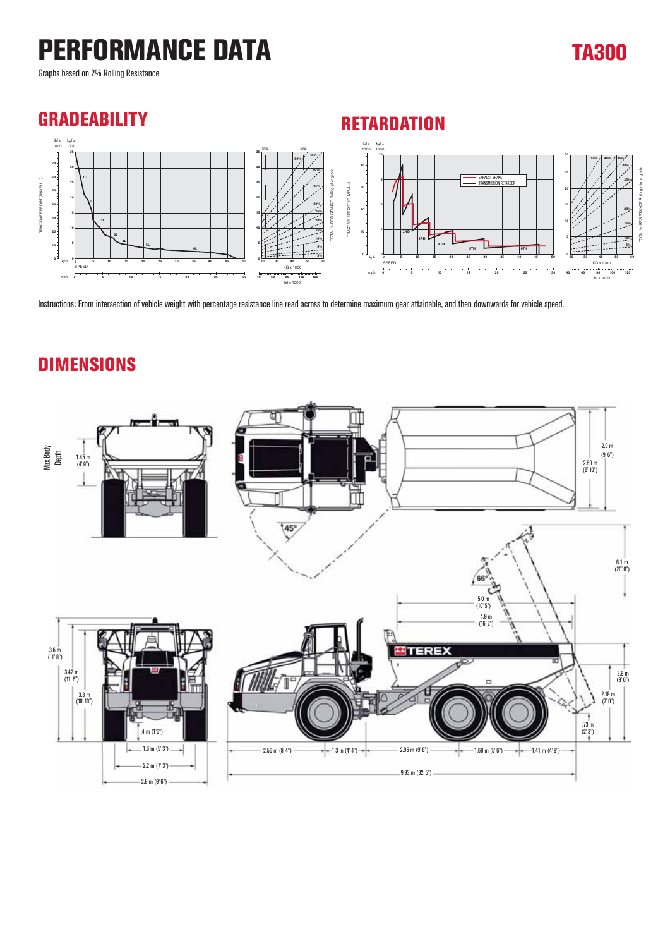# PERFORMANCE DATA TA300

Graphs based on 2% Rolling Resistance

### **GRADEABILITY RETARDATION**



Instructions: From intersection of vehicle weight with percentage resistance line read across to determine maximum gear attainable, and then downwards for vehicle speed.

### **DIMENSIONS**